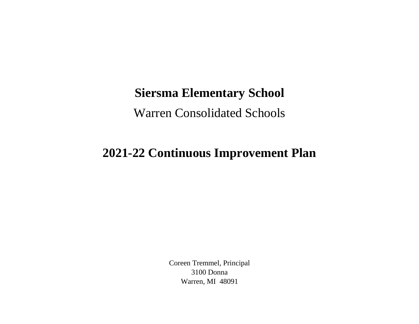## **Siersma Elementary School**

Warren Consolidated Schools

## **2021-22 Continuous Improvement Plan**

Coreen Tremmel, Principal 3100 Donna Warren, MI 48091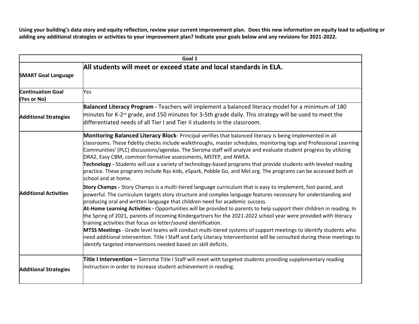**Using your building's data story and equity reflection, review your current improvement plan. Does this new information on equity lead to adjusting or adding any additional strategies or activities to your improvement plan? Indicate your goals below and any revisions for 2021-2022.**

| Goal 1                                  |                                                                                                                                                                                                                                                                                                                                                                                                                                                                                                                                                                                                                                                                                                                                                                                                                                                                                                                                                   |
|-----------------------------------------|---------------------------------------------------------------------------------------------------------------------------------------------------------------------------------------------------------------------------------------------------------------------------------------------------------------------------------------------------------------------------------------------------------------------------------------------------------------------------------------------------------------------------------------------------------------------------------------------------------------------------------------------------------------------------------------------------------------------------------------------------------------------------------------------------------------------------------------------------------------------------------------------------------------------------------------------------|
| <b>SMART Goal Language</b>              | All students will meet or exceed state and local standards in ELA.                                                                                                                                                                                                                                                                                                                                                                                                                                                                                                                                                                                                                                                                                                                                                                                                                                                                                |
| <b>Continuation Goal</b><br>(Yes or No) | Yes                                                                                                                                                                                                                                                                                                                                                                                                                                                                                                                                                                                                                                                                                                                                                                                                                                                                                                                                               |
| <b>Additional Strategies</b>            | Balanced Literacy Program - Teachers will implement a balanced literacy model for a minimum of 180<br>minutes for K-2 <sup>™</sup> grade, and 150 minutes for 3-5th grade daily. This strategy will be used to meet the<br>differentiated needs of all Tier I and Tier II students in the classroom.                                                                                                                                                                                                                                                                                                                                                                                                                                                                                                                                                                                                                                              |
| <b>Additional Activities</b>            | Monitoring Balanced Literacy Block- Principal verifies that balanced literacy is being implemented in all<br>classrooms. These fidelity checks include walkthroughs, master schedules, monitoring logs and Professional Learning<br>Communities' (PLC) discussions/agendas. The Siersma staff will analyze and evaluate student progress by utilizing<br>DRA2, Easy CBM, common formative assessments, MSTEP, and NWEA.<br><b>Technology</b> - Students will use a variety of technology-based programs that provide students with leveled reading<br>practice. These programs include Raz-kids, eSpark, Pebble Go, and Mel.org. The programs can be accessed both at<br>school and at home.                                                                                                                                                                                                                                                      |
|                                         | Story Champs - Story Champs is a multi-tiered language curriculum that is easy to implement, fast-paced, and<br>powerful. The curriculum targets story structure and complex language features necessary for understanding and<br>producing oral and written language that children need for academic success.<br>At-Home Learning Activities - Opportunities will be provided to parents to help support their children in reading. In<br>the Spring of 2021, parents of incoming Kindergartners for the 2021-2022 school year were provided with literacy<br>training activities that focus on letter/sound identification.<br>MTSS Meetings - Grade level teams will conduct multi-tiered systems of support meetings to identify students who<br>need additional intervention. Title I Staff and Early Literacy Interventionist will be consulted during these meetings to<br>identify targeted interventions needed based on skill deficits. |
| <b>Additional Strategies</b>            | Title I Intervention - Siersma Title I Staff will meet with targeted students providing supplementary reading<br>instruction in order to increase student achievement in reading.                                                                                                                                                                                                                                                                                                                                                                                                                                                                                                                                                                                                                                                                                                                                                                 |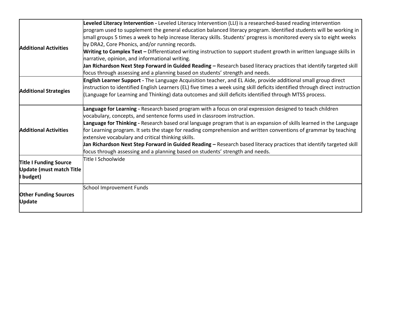| <b>Additional Activities</b>                                                  | Leveled Literacy Intervention - Leveled Literacy Intervention (LLI) is a researched-based reading intervention<br>program used to supplement the general education balanced literacy program. Identified students will be working in<br>small groups 5 times a week to help increase literacy skills. Students' progress is monitored every six to eight weeks<br>by DRA2, Core Phonics, and/or running records.                                                                                                                                                                                                                                                                              |
|-------------------------------------------------------------------------------|-----------------------------------------------------------------------------------------------------------------------------------------------------------------------------------------------------------------------------------------------------------------------------------------------------------------------------------------------------------------------------------------------------------------------------------------------------------------------------------------------------------------------------------------------------------------------------------------------------------------------------------------------------------------------------------------------|
|                                                                               | Writing to Complex Text - Differentiated writing instruction to support student growth in written language skills in<br>narrative, opinion, and informational writing.<br>Jan Richardson Next Step Forward in Guided Reading – Research based literacy practices that identify targeted skill<br>focus through assessing and a planning based on students' strength and needs.                                                                                                                                                                                                                                                                                                                |
| <b>Additional Strategies</b>                                                  | English Learner Support - The Language Acquisition teacher, and EL Aide, provide additional small group direct<br>instruction to identified English Learners (EL) five times a week using skill deficits identified through direct instruction<br>(Language for Learning and Thinking) data outcomes and skill deficits identified through MTSS process.                                                                                                                                                                                                                                                                                                                                      |
| <b>Additional Activities</b>                                                  | Language for Learning - Research based program with a focus on oral expression designed to teach children<br>vocabulary, concepts, and sentence forms used in classroom instruction.<br>Language for Thinking - Research based oral language program that is an expansion of skills learned in the Language<br>for Learning program. It sets the stage for reading comprehension and written conventions of grammar by teaching<br>extensive vocabulary and critical thinking skills.<br>Jan Richardson Next Step Forward in Guided Reading – Research based literacy practices that identify targeted skill<br>focus through assessing and a planning based on students' strength and needs. |
| <b>Title I Funding Source</b><br><b>Update (must match Title</b><br>I budget) | Title I Schoolwide                                                                                                                                                                                                                                                                                                                                                                                                                                                                                                                                                                                                                                                                            |
| <b>Other Funding Sources</b><br><b>Update</b>                                 | School Improvement Funds                                                                                                                                                                                                                                                                                                                                                                                                                                                                                                                                                                                                                                                                      |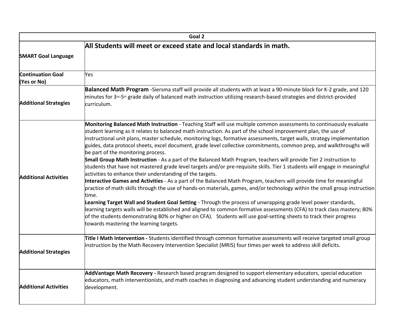| Goal 2                                                              |                                                                                                                                                                                                                                                                                                                                                                                                                                                                                                                                                                                                                                                                                                                                                                                                                                                                                                                                                                                                                                                                                                                                                                                                                                                                                                                                                                                                                                                                                                                                 |
|---------------------------------------------------------------------|---------------------------------------------------------------------------------------------------------------------------------------------------------------------------------------------------------------------------------------------------------------------------------------------------------------------------------------------------------------------------------------------------------------------------------------------------------------------------------------------------------------------------------------------------------------------------------------------------------------------------------------------------------------------------------------------------------------------------------------------------------------------------------------------------------------------------------------------------------------------------------------------------------------------------------------------------------------------------------------------------------------------------------------------------------------------------------------------------------------------------------------------------------------------------------------------------------------------------------------------------------------------------------------------------------------------------------------------------------------------------------------------------------------------------------------------------------------------------------------------------------------------------------|
| All Students will meet or exceed state and local standards in math. |                                                                                                                                                                                                                                                                                                                                                                                                                                                                                                                                                                                                                                                                                                                                                                                                                                                                                                                                                                                                                                                                                                                                                                                                                                                                                                                                                                                                                                                                                                                                 |
| <b>SMART Goal Language</b>                                          |                                                                                                                                                                                                                                                                                                                                                                                                                                                                                                                                                                                                                                                                                                                                                                                                                                                                                                                                                                                                                                                                                                                                                                                                                                                                                                                                                                                                                                                                                                                                 |
| <b>Continuation Goal</b><br>(Yes or No)                             | Yes                                                                                                                                                                                                                                                                                                                                                                                                                                                                                                                                                                                                                                                                                                                                                                                                                                                                                                                                                                                                                                                                                                                                                                                                                                                                                                                                                                                                                                                                                                                             |
| <b>Additional Strategies</b>                                        | Balanced Math Program -Siersma staff will provide all students with at least a 90-minute block for K-2 grade, and 120<br>minutes for 3 <sup>rd</sup> -5 <sup>th</sup> grade daily of balanced math instruction utilizing research-based strategies and district-provided<br>curriculum.                                                                                                                                                                                                                                                                                                                                                                                                                                                                                                                                                                                                                                                                                                                                                                                                                                                                                                                                                                                                                                                                                                                                                                                                                                         |
| <b>Additional Activities</b>                                        | Monitoring Balanced Math Instruction - Teaching Staff will use multiple common assessments to continuously evaluate<br>student learning as it relates to balanced math instruction. As part of the school improvement plan, the use of<br>instructional unit plans, master schedule, monitoring logs, formative assessments, target walls, strategy implementation<br>guides, data protocol sheets, excel document, grade level collective commitments, common prep, and walkthroughs will<br>be part of the monitoring process.<br>Small Group Math Instruction - As a part of the Balanced Math Program, teachers will provide Tier 2 instruction to<br>students that have not mastered grade level targets and/or pre-requisite skills. Tier 1 students will engage in meaningful<br>activities to enhance their understanding of the targets.<br>Interactive Games and Activities - As a part of the Balanced Math Program, teachers will provide time for meaningful<br>practice of math skills through the use of hands-on materials, games, and/or technology within the small group instruction<br>time.<br>Learning Target Wall and Student Goal Setting - Through the process of unwrapping grade level power standards,<br>learning targets walls will be established and aligned to common formative assessments (CFA) to track class mastery; 80%<br>of the students demonstrating 80% or higher on CFA). Students will use goal-setting sheets to track their progress<br>towards mastering the learning targets. |
| <b>Additional Strategies</b>                                        | Title I Math Intervention - Students identified through common formative assessments will receive targeted small group<br>instruction by the Math Recovery Intervention Specialist (MRIS) four times per week to address skill deficits.                                                                                                                                                                                                                                                                                                                                                                                                                                                                                                                                                                                                                                                                                                                                                                                                                                                                                                                                                                                                                                                                                                                                                                                                                                                                                        |
| <b>Additional Activities</b>                                        | AddVantage Math Recovery - Research based program designed to support elementary educators, special education<br>educators, math interventionists, and math coaches in diagnosing and advancing student understanding and numeracy<br>development.                                                                                                                                                                                                                                                                                                                                                                                                                                                                                                                                                                                                                                                                                                                                                                                                                                                                                                                                                                                                                                                                                                                                                                                                                                                                              |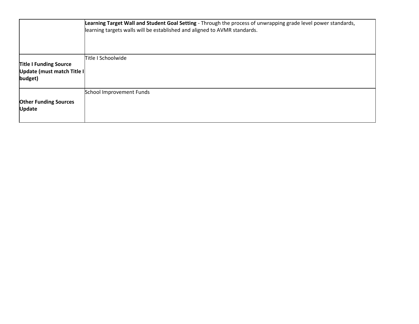|                                                                        | Learning Target Wall and Student Goal Setting - Through the process of unwrapping grade level power standards,<br>learning targets walls will be established and aligned to AVMR standards. |
|------------------------------------------------------------------------|---------------------------------------------------------------------------------------------------------------------------------------------------------------------------------------------|
| <b>Title I Funding Source</b><br>Update (must match Title I<br>budget) | Title I Schoolwide                                                                                                                                                                          |
| <b>Other Funding Sources</b><br><b>Update</b>                          | School Improvement Funds                                                                                                                                                                    |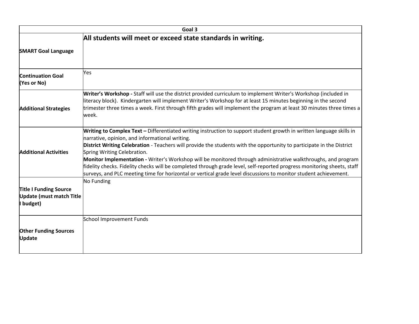| Goal 3                                                                        |                                                                                                                                                                                                                                                                                                                                                                                                                                                                                                                                                                                                                                                                                                |
|-------------------------------------------------------------------------------|------------------------------------------------------------------------------------------------------------------------------------------------------------------------------------------------------------------------------------------------------------------------------------------------------------------------------------------------------------------------------------------------------------------------------------------------------------------------------------------------------------------------------------------------------------------------------------------------------------------------------------------------------------------------------------------------|
|                                                                               | All students will meet or exceed state standards in writing.                                                                                                                                                                                                                                                                                                                                                                                                                                                                                                                                                                                                                                   |
| <b>SMART Goal Language</b>                                                    |                                                                                                                                                                                                                                                                                                                                                                                                                                                                                                                                                                                                                                                                                                |
| <b>Continuation Goal</b><br>(Yes or No)                                       | Yes                                                                                                                                                                                                                                                                                                                                                                                                                                                                                                                                                                                                                                                                                            |
| <b>Additional Strategies</b>                                                  | Writer's Workshop - Staff will use the district provided curriculum to implement Writer's Workshop (included in<br>literacy block). Kindergarten will implement Writer's Workshop for at least 15 minutes beginning in the second<br>trimester three times a week. First through fifth grades will implement the program at least 30 minutes three times a<br>week.                                                                                                                                                                                                                                                                                                                            |
| <b>Additional Activities</b>                                                  | Writing to Complex Text - Differentiated writing instruction to support student growth in written language skills in<br>narrative, opinion, and informational writing.<br>District Writing Celebration - Teachers will provide the students with the opportunity to participate in the District<br>Spring Writing Celebration.<br>Monitor Implementation - Writer's Workshop will be monitored through administrative walkthroughs, and program<br>fidelity checks. Fidelity checks will be completed through grade level, self-reported progress monitoring sheets, staff<br>surveys, and PLC meeting time for horizontal or vertical grade level discussions to monitor student achievement. |
| <b>Title I Funding Source</b><br><b>Update (must match Title</b><br>I budget) | No Funding                                                                                                                                                                                                                                                                                                                                                                                                                                                                                                                                                                                                                                                                                     |
| <b>Other Funding Sources</b><br><b>Update</b>                                 | School Improvement Funds                                                                                                                                                                                                                                                                                                                                                                                                                                                                                                                                                                                                                                                                       |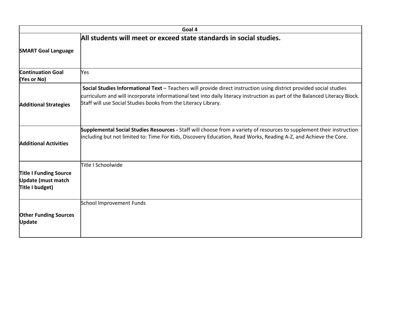| Goal 4                                                                        |                                                                                                                                                                                                                                                                                                                     |
|-------------------------------------------------------------------------------|---------------------------------------------------------------------------------------------------------------------------------------------------------------------------------------------------------------------------------------------------------------------------------------------------------------------|
|                                                                               | All students will meet or exceed state standards in social studies.                                                                                                                                                                                                                                                 |
| <b>SMART Goal Language</b>                                                    |                                                                                                                                                                                                                                                                                                                     |
| <b>Continuation Goal</b><br>(Yes or No)                                       | <b>Yes</b>                                                                                                                                                                                                                                                                                                          |
| <b>Additional Strategies</b>                                                  | Social Studies Informational Text - Teachers will provide direct instruction using district provided social studies<br>curriculum and will incorporate informational text into daily literacy instruction as part of the Balanced Literacy Block.<br>Staff will use Social Studies books from the Literacy Library. |
| <b>Additional Activities</b>                                                  | Supplemental Social Studies Resources - Staff will choose from a variety of resources to supplement their instruction<br>including but not limited to: Time For Kids, Discovery Education, Read Works, Reading A-Z, and Achieve the Core.                                                                           |
| <b>Title I Funding Source</b><br><b>Update (must match</b><br>Title I budget) | Title I Schoolwide                                                                                                                                                                                                                                                                                                  |
| <b>Other Funding Sources</b><br><b>Update</b>                                 | School Improvement Funds                                                                                                                                                                                                                                                                                            |